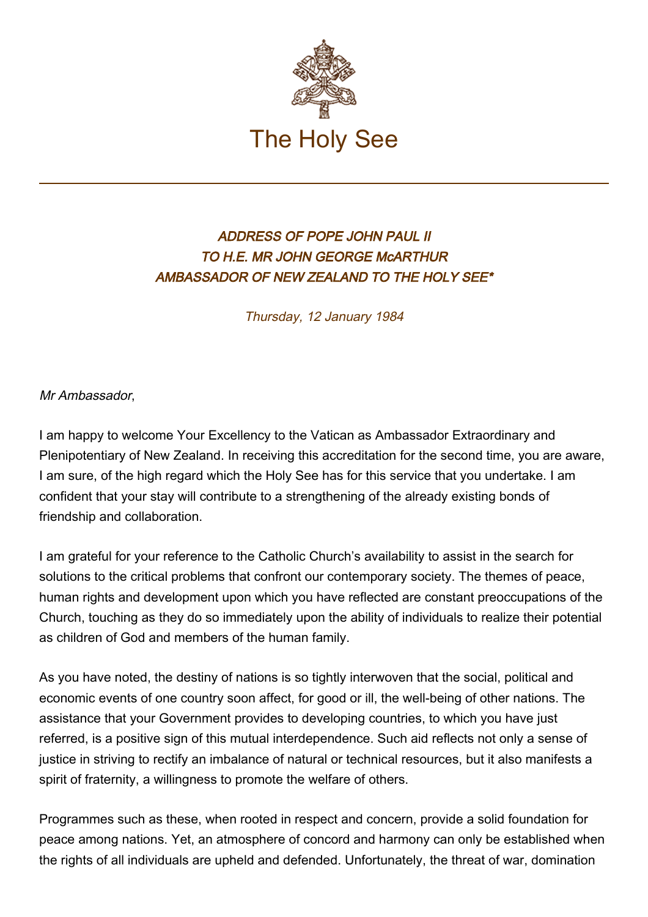

## ADDRESS OF POPE JOHN PAUL II TO H.E. MR JOHN GEORGE McARTHUR AMBASSADOR OF NEW ZEALAND TO THE HOLY SEE\*

Thursday, 12 January 1984

Mr Ambassador,

I am happy to welcome Your Excellency to the Vatican as Ambassador Extraordinary and Plenipotentiary of New Zealand. In receiving this accreditation for the second time, you are aware, I am sure, of the high regard which the Holy See has for this service that you undertake. I am confident that your stay will contribute to a strengthening of the already existing bonds of friendship and collaboration.

I am grateful for your reference to the Catholic Church's availability to assist in the search for solutions to the critical problems that confront our contemporary society. The themes of peace, human rights and development upon which you have reflected are constant preoccupations of the Church, touching as they do so immediately upon the ability of individuals to realize their potential as children of God and members of the human family.

As you have noted, the destiny of nations is so tightly interwoven that the social, political and economic events of one country soon affect, for good or ill, the well-being of other nations. The assistance that your Government provides to developing countries, to which you have just referred, is a positive sign of this mutual interdependence. Such aid reflects not only a sense of justice in striving to rectify an imbalance of natural or technical resources, but it also manifests a spirit of fraternity, a willingness to promote the welfare of others.

Programmes such as these, when rooted in respect and concern, provide a solid foundation for peace among nations. Yet, an atmosphere of concord and harmony can only be established when the rights of all individuals are upheld and defended. Unfortunately, the threat of war, domination